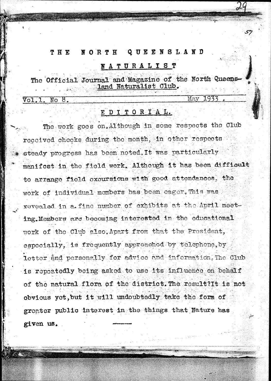#### THE NORTH Q UEENSLAND

#### ATURALIST N

The Official Journal and Magazine of the North Queens land Naturalist Club.

 $\overline{\texttt{Vol.1}}$  $\overline{\text{No}}$ 8.  $M$ av  $1937$ 

## EDITORIAL.

The work goes on, Although in some respects the Club received checks during the month, in other respects steady progress has been noted. It was particularly manifost in the field work. Although it has been difficult to arrange field excursions with good attendances. the work of individual members has been eager. This was revealed in a fine number of exhibits at the April meeting. Mombers are becoming interested in the educational work of the Club also Apart from that the President. especially, is frequently approached by telephone by letter and personally for advice and information. The Club is repertedly being asked to use its influence on behalf of the natural flora of the district. The result?It is not obvious yet, but it will undoubtedly take the form of greater public interest in the things that Nature has given us.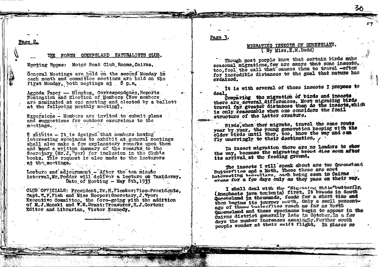Page

#### OUEENSLAND NATURALISTS CLUB. NORTH

Meeting Rooms: Motor Boat Club Rooms. Cairns.

General Meetings are held on the second Monday in each month and committee meetings are held on the first Monday, both meetings at 8 p.m.

Agenda Paper - Minutes. Correspondence, Reports Nomination and Election of Members (New members are nominated at one meeting and elected by a ballott at the following monthly meeting).

Excursions - Members are invited to submit plans and suggestions for outdoor excursions to the meetings.

E xhibits - It is desired that members having interesting specimens to exhibit at general meetings shall also make a fow explanatory remarks upon them and hand a written summary of the remarks to the Socretary (Mr.J. Fyer) for inclusion in the Club's books. This request is also made to the lecturers at the moetings.

Lecture and adjournment - After the ten minute interval.Mr. Pedder will deliver a lecture on Taxidormy. Date of Meeting - May 8th. 1933

CLUB OFFICIALS: President.Dr.H.Flecker:Vice-Presidents. Capt. W.P.Fish and Miss Hooper: Secretary. J. Wyer: Executive Committee, the fore-going with the addition of M.J.Manski and W.M.Grant: Treasurer.R.J.Gorton: Editor and Librarian, Victor Kennedy.

Page  $\overline{2}$ .

## MIGRATING INSECTS OF OUEENSLAND. (By Miss.K.M.Dodd)

Though most people know that certain birds make seasonal migrations, few are aware that some inscete. too, feel the call that causes them to travel. -often for incredible distances to the goal that nature has ordained.

it is with several of these insects I propose to deal.

Comparing the migration of birds and insects there are several differences. Most migrating birds travel far greater distances than do the insects, which is only reasonable when one considers the frail structure of the latter creature.

Birds, when they migrate, travel the same route year by year, the young generation keeping with the older birds until they, too, know the way and can fly unerringly to their destination.

In insect migration thore are no leaders to show the way, because the migrating brood dies soon after its arrival at the feeding ground.

The insects I will speak about are two Queensland Butterflins and a Moth. These three are most interesting travellars, each being seen in Cairns oreas for a few days only as they pass on their way.

I shall deal with the "Migrating Mills"butterfly, (Anaphae1s java terton1a) first, It breeds in South Queensland in thousands, feeds for a short time and then begins its journey north, only a small percent. age of these varietflies reach as far as North Oncensland and these specimens begin to appear in the dairns district generally late in October. In a few days the number increases amazingly, Furthor south people wonder at their swift flight. In places so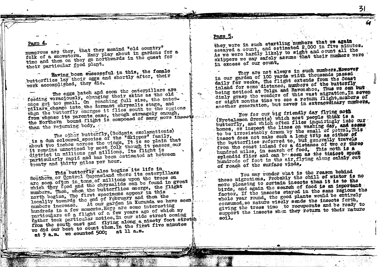Pago

numerous are they, that they memind "old country" folk of a snowstorm. Many play about in gardens for a time and then on they go northwards in the quest for their particular food plant.

Having been successful in this, the female butterflies lay their eggs and shortly after, their work accomplished, they die.

The eggs hatch and soon the caterpillars are feeding voraciously, changing their skins as the old ongs get too small. On reaching full size, the caterpillars change into the dormant chrysalis stage, and when the butterfly emerges it flies south to the regions from whense its parents came, though strangely enough, the Northern bound flight is composed of many more insects than the returning body.

The other butterfly, (Bedamia exclamationis) is a dun coloured species of the "Skipper" family, about two inches across the wings. It is so plain that It remains unnoticed by most folk though it passes our district in millions and millions. Its flight is particularly rapid and has been estimated at between trenty and thirty miles per hour.

This butterfly also begins its life in Southern or Central Queensland where its caterpillars are seen often in tens of millions upon the trees on which they food and the chrysalids can be found in great numbers. Then, when the butterflies emerge, the flight north begins. The first specimens appear in this locality towards the end of February and then the numbers increase. At our garden in Kuranda we have seen hundreds in a few moments, Here are some interesting particulars of a flight of a few years ago of which my father took particular notice. In our side street coming from the south east and flying along a ninety foot streth we did our best to count them. In the first five minutes at 9 a.m. we counted 500; at 11 a.m.

they were in such startling numbers that we again essayed a count, and estimated 2,000 in five minutes. As we were hardly likely to sight and count all the skippers we may safely assume that their numbers were in excess of our count.

They are not always in such numbers, However in our garden of 100 yards width thousands passed daily for weeks. The flight extends from the Coast inland for some distances numbers of the butterfly being noticed at Tolga and Ravenshoe, Thus we can but dimly grasp the wondors of this vast migration. In seven or eight months time we see a return flight, members of another generation, but never in extraordinary numbers,

Now for our big friendly day flying moth (Nyotalemon Orontie) which most people think is a butterfly, and which often flies inquiringly into our homes, or inspect the lines on washing day, and seems to be irresistably drawn by the small of petrol, This insect does not make such a long trip as either of the butterflies referred to, but generally travels from the coast inland for a distance of two or three hundred miles, in search of food, This moth is a splendid flicr and can be seen as the tinicst speck hundreds of feet in the air, flying along calmly out of reach of the surface winds.

You may wonder what is the reason behind these migrations, Probably the chill of winter is no more pleasing to certain insects than it is to the birds, and again the search of food is an important factor. If the insects stayed in the same regions the whole year round, the good plants would be entirely consumed, so nature wisely sends the insects forth, giving the trees time to recuperate and be ready to support the insects when they return to their nature soil.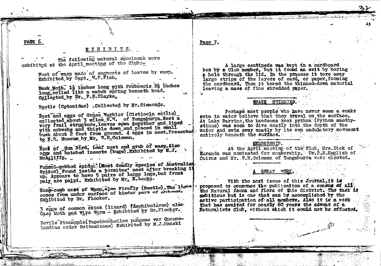## EXHIBITS.

The following natural specimens were exhibited at the April meeting of the Club:-

PACE 6

Nest of wasp made of segments of leaves by wasp. Exhibited by Capt. W.P. Fish.

Hawk Moth. 1} inches long with Proboscis 2} inches long, coiled like a watch spring beneath hoad. Collected by Dr. P.S.Clarke.

Beetle (Cetonidae) .Collected by Mr. Simmonds.

Nest and eggs of Grass Warbler (Cisticola exilis) collected about 3 miles S.W. of Yungaburra. Nest a very frail structure, leaves sown together and lined with cobwebs and thistle down and placed in small bush about 2 feet from ground. 4 eggs in nest. Presented to N.C. Museum by Mr. W.H.Coleman.

Nett of Sum Bird, Leaf nest and grub of wasp. Also eggs and hatched insects (bugs). Exhibited by M.J. McAuliffe.

Funnol-gebbed spide: (Most deadly species of Australian Spider) Found inside a termites! nest after breaking it up. Appears to have 5 pairs of large legs, but front pair are palpi. Exhibited by Mr. E. Locke.

Hony-comb nest of Wasp, also Firefly (Beetle). The light comes from under surface of hinder part of abdoment. Exhibited by Dr. Flecker.

3 eggs of common skink (lizard) (Amphibolurus) also Caso Moth and Wire Worm - Exhibited by Dr. Flocker.

Devils Pincapple(Tapeinocheilos pungens var Queenslandiae order Scitamineae) Exhibited by M.J.Manski

Page 7.

A large centipede was kept in a cardboard box by a Club member, but it found an exit by boring a hole through the lid. In the process it tore away large strips of the layers of card, or paper, forming the cardboard. Then it bored the thinned-down material leaving a mass of fine shredded paper.

#### SNAKE SWIMMING.

Perhaps most people who have never seen a snake swim in water believe that they travel on the surface. At Lake Barrine, the handsome rock python (Python amethystinus) was seen to dive neatly into the depth of the water and swim away neatly by its own undulatory movement entirely beneath the surface.

#### **MEMBERSHIP.**

At the April meeting of the Club. Mrs. Dick of Kuranda was nominated for mombership. Dr.P.B.English of Cairns and Mr. W.H.Coleman of Yungaburra were elected.

#### **GREAT**

With the next issue of this Journal, it is proposed to commonce the publication of a census of all. the Natural fauna and flora of this district. The task is ambitious but is one that can be accomplished by the active participation of all members. Also it is a work that has awaited for nearly 60 years the advent of a Naturalists Club, without which it could not be effected.